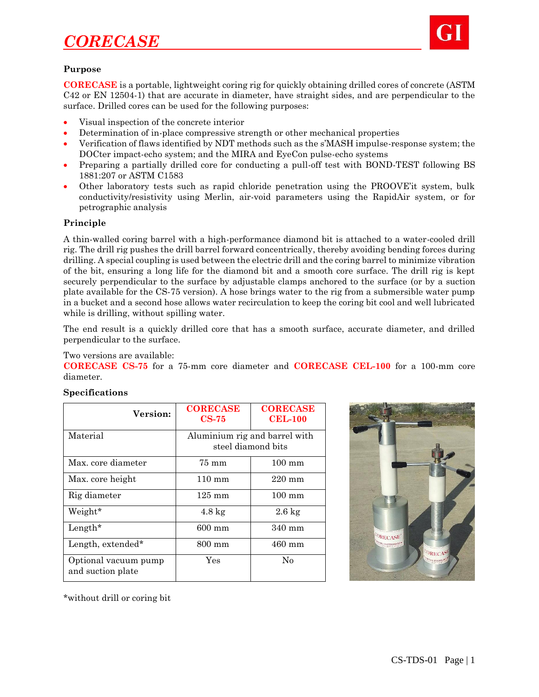# *CORECASE*



#### **Purpose**

**CORECASE** is a portable, lightweight coring rig for quickly obtaining drilled cores of concrete (ASTM C42 or EN 12504-1) that are accurate in diameter, have straight sides, and are perpendicular to the surface. Drilled cores can be used for the following purposes:

- Visual inspection of the concrete interior
- Determination of in-place compressive strength or other mechanical properties
- Verification of flaws identified by NDT methods such as the s'MASH impulse-response system; the DOCter impact-echo system; and the MIRA and EyeCon pulse-echo systems
- Preparing a partially drilled core for conducting a pull-off test with BOND-TEST following BS 1881:207 or ASTM C1583
- Other laboratory tests such as rapid chloride penetration using the PROOVE'it system, bulk conductivity/resistivity using Merlin, air-void parameters using the RapidAir system, or for petrographic analysis

# **Principle**

A thin-walled coring barrel with a high-performance diamond bit is attached to a water-cooled drill rig. The drill rig pushes the drill barrel forward concentrically, thereby avoiding bending forces during drilling. A special coupling is used between the electric drill and the coring barrel to minimize vibration of the bit, ensuring a long life for the diamond bit and a smooth core surface. The drill rig is kept securely perpendicular to the surface by adjustable clamps anchored to the surface (or by a suction plate available for the CS-75 version). A hose brings water to the rig from a submersible water pump in a bucket and a second hose allows water recirculation to keep the coring bit cool and well lubricated while is drilling, without spilling water.

The end result is a quickly drilled core that has a smooth surface, accurate diameter, and drilled perpendicular to the surface.

# Two versions are available:

**CORECASE CS-75** for a 75-mm core diameter and **CORECASE CEL-100** for a 100-mm core diameter.

#### **Specifications**

| Version:                                  | <b>CORECASE</b><br>$CS-75$                          | <b>CORECASE</b><br><b>CEL-100</b> |
|-------------------------------------------|-----------------------------------------------------|-----------------------------------|
| Material                                  | Aluminium rig and barrel with<br>steel diamond bits |                                   |
| Max. core diameter                        | 75 mm                                               | $100 \text{ mm}$                  |
| Max. core height                          | $110 \text{ mm}$                                    | $220 \text{ mm}$                  |
| Rig diameter                              | $125 \text{ mm}$                                    | $100 \text{ mm}$                  |
| Weight*                                   | $4.8 \text{ kg}$                                    | $2.6 \text{ kg}$                  |
| Length $*$                                | 600 mm                                              | 340 mm                            |
| Length, extended*                         | $800 \text{ mm}$                                    | $460$ mm                          |
| Optional vacuum pump<br>and suction plate | Yes                                                 | No                                |



\*without drill or coring bit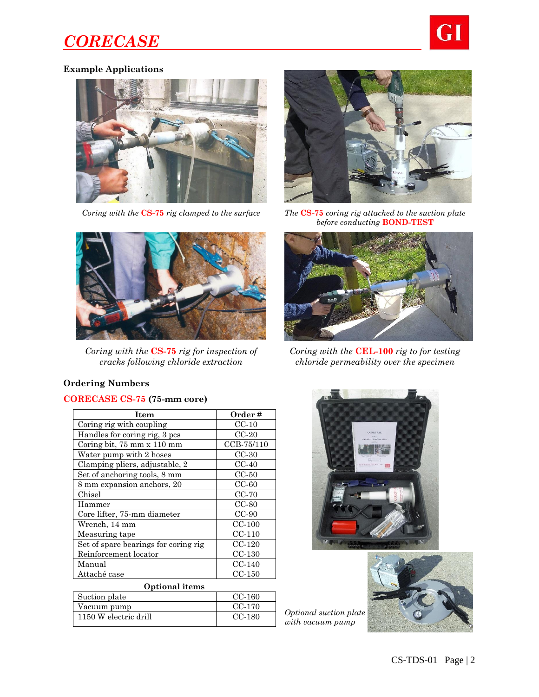# *CORECASE*



# **Example Applications**



*Coring with the* **CS-75** *rig clamped to the surface The* **CS-75** *coring rig attached to the suction plate* 



*before conducting* **BOND-TEST**



*Coring with the* **CS-75** *rig for inspection of cracks following chloride extraction*



*Coring with the* **CEL-100** *rig to for testing chloride permeability over the specimen*

# **Ordering Numbers**

# **CORECASE CS-75 (75-mm core)**

| Item                                 | Order#     |  |
|--------------------------------------|------------|--|
| Coring rig with coupling             | $CC-10$    |  |
| Handles for coring rig, 3 pcs        | $CC-20$    |  |
| Coring bit, 75 mm x 110 mm           | CCB-75/110 |  |
| Water pump with 2 hoses              | $CC-30$    |  |
| Clamping pliers, adjustable, 2       | $CC-40$    |  |
| Set of anchoring tools, 8 mm         | $CC-50$    |  |
| 8 mm expansion anchors, 20           | $CC-60$    |  |
| Chisel                               | $CC-70$    |  |
| Hammer                               | $CC-80$    |  |
| Core lifter, 75-mm diameter          | $CC-90$    |  |
| Wrench, 14 mm                        | $CC-100$   |  |
| Measuring tape                       | $CC-110$   |  |
| Set of spare bearings for coring rig | $CC-120$   |  |
| Reinforcement locator                | $CC-130$   |  |
| Manual                               | $CC-140$   |  |
| Attaché case                         | CC-150     |  |
| Optional items                       |            |  |

| Optional Renis        |          |  |
|-----------------------|----------|--|
| Suction plate         | $CC-160$ |  |
| Vacuum pump           | CC-170   |  |
| 1150 W electric drill | $CC-180$ |  |



*Optional suction plate with vacuum pump*